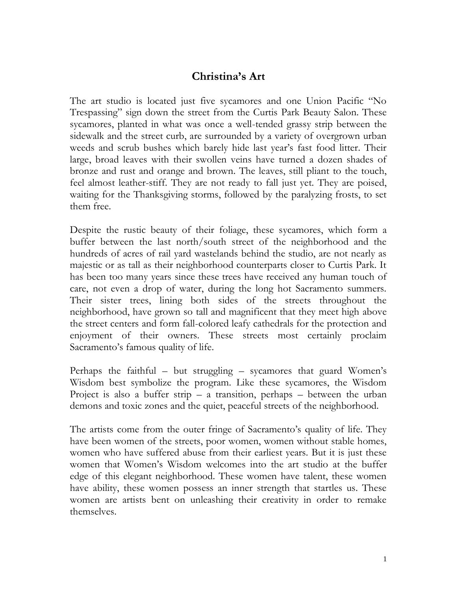## **Christina's Art**

The art studio is located just five sycamores and one Union Pacific "No Trespassing" sign down the street from the Curtis Park Beauty Salon. These sycamores, planted in what was once a well-tended grassy strip between the sidewalk and the street curb, are surrounded by a variety of overgrown urban weeds and scrub bushes which barely hide last year's fast food litter. Their large, broad leaves with their swollen veins have turned a dozen shades of bronze and rust and orange and brown. The leaves, still pliant to the touch, feel almost leather-stiff. They are not ready to fall just yet. They are poised, waiting for the Thanksgiving storms, followed by the paralyzing frosts, to set them free.

Despite the rustic beauty of their foliage, these sycamores, which form a buffer between the last north/south street of the neighborhood and the hundreds of acres of rail yard wastelands behind the studio, are not nearly as majestic or as tall as their neighborhood counterparts closer to Curtis Park. It has been too many years since these trees have received any human touch of care, not even a drop of water, during the long hot Sacramento summers. Their sister trees, lining both sides of the streets throughout the neighborhood, have grown so tall and magnificent that they meet high above the street centers and form fall-colored leafy cathedrals for the protection and enjoyment of their owners. These streets most certainly proclaim Sacramento's famous quality of life.

Perhaps the faithful – but struggling – sycamores that guard Women's Wisdom best symbolize the program. Like these sycamores, the Wisdom Project is also a buffer strip – a transition, perhaps – between the urban demons and toxic zones and the quiet, peaceful streets of the neighborhood.

The artists come from the outer fringe of Sacramento's quality of life. They have been women of the streets, poor women, women without stable homes, women who have suffered abuse from their earliest years. But it is just these women that Women's Wisdom welcomes into the art studio at the buffer edge of this elegant neighborhood. These women have talent, these women have ability, these women possess an inner strength that startles us. These women are artists bent on unleashing their creativity in order to remake themselves.